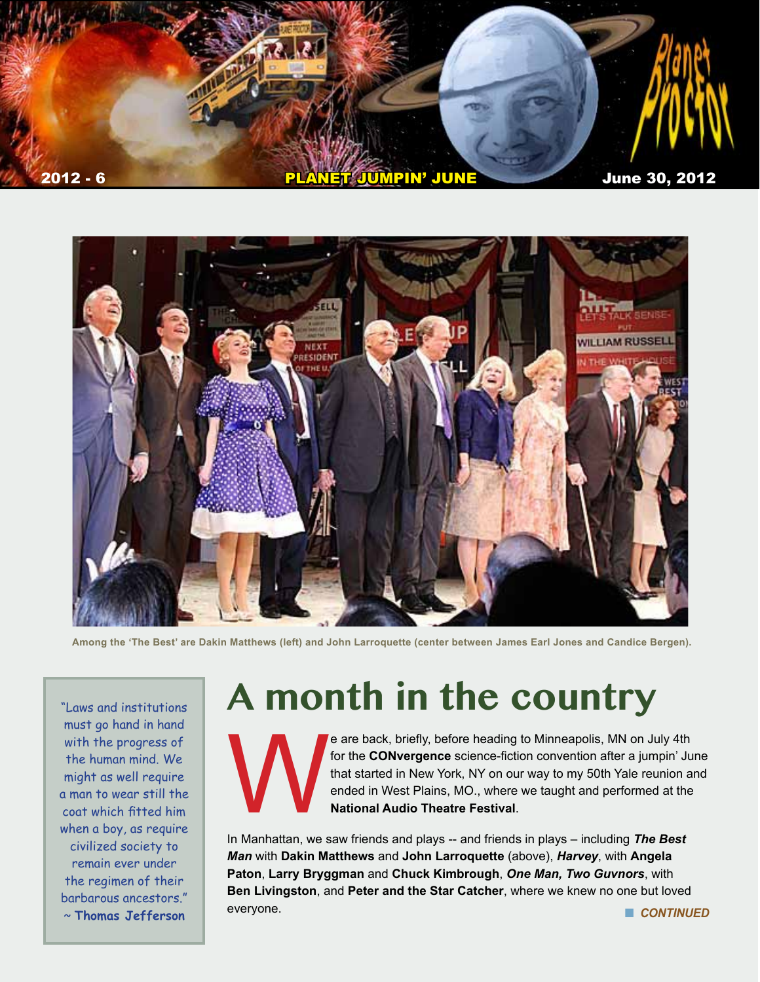



**Among the 'The Best' are Dakin Matthews (left) and John Larroquette (center between James Earl Jones and Candice Bergen).**

"Laws and institutions must go hand in hand with the progress of the human mind. We might as well require a man to wear still the coat which fitted him when a boy, as require civilized society to remain ever under the regimen of their barbarous ancestors."

# **A month in the country**

e are back, briefly, before heading to Minneapolis, MN on July 4th<br>for the **CONvergence** science-fiction convention after a jumpin' Ju<br>that started in New York, NY on our way to my 50th Yale reunion a<br>ended in West Plains, for the **CONvergence** science-fiction convention after a jumpin' June that started in New York, NY on our way to my 50th Yale reunion and ended in West Plains, MO., where we taught and performed at the **National Audio Theatre Festival**.

In Manhattan, we saw friends and plays -- and friends in plays – including *The Best Man* with **Dakin Matthews** and **John Larroquette** (above), *Harvey*, with **Angela Paton**, **Larry Bryggman** and **Chuck Kimbrough**, *One Man, Two Guvnors*, with **Ben Livingston**, and **Peter and the Star Catcher**, where we knew no one but loved everyone. ~ **Thomas Jefferson** n *CONTINUED*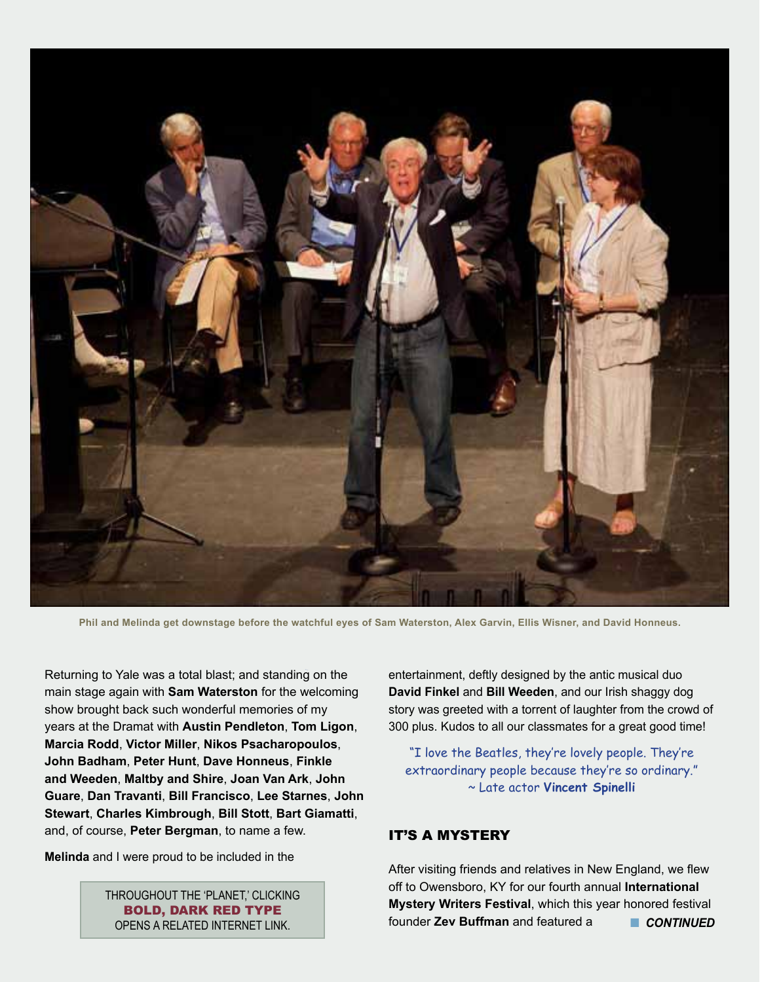

**Phil and Melinda get downstage before the watchful eyes of Sam Waterston, Alex Garvin, Ellis Wisner, and David Honneus.**

Returning to Yale was a total blast; and standing on the main stage again with **Sam Waterston** for the welcoming show brought back such wonderful memories of my years at the Dramat with **Austin Pendleton**, **Tom Ligon**, **Marcia Rodd**, **Victor Miller**, **Nikos Psacharopoulos**, **John Badham**, **Peter Hunt**, **Dave Honneus**, **Finkle and Weeden**, **Maltby and Shire**, **Joan Van Ark**, **John Guare**, **Dan Travanti**, **Bill Francisco**, **Lee Starnes**, **John Stewart**, **Charles Kimbrough**, **Bill Stott**, **Bart Giamatti**, and, of course, **Peter Bergman**, to name a few.

**Melinda** and I were proud to be included in the

THROUGHOUT THE 'PLANET,' CLICKING BOLD, DARK RED TYPE OPENS A RELATED INTERNET LINK.

entertainment, deftly designed by the antic musical duo **David Finkel** and **Bill Weeden**, and our Irish shaggy dog story was greeted with a torrent of laughter from the crowd of 300 plus. Kudos to all our classmates for a great good time!

"I love the Beatles, they're lovely people. They're extraordinary people because they're so ordinary." ~ Late actor **Vincent Spinelli**

#### IT'S A MYSTERY

After visiting friends and relatives in New England, we flew off to Owensboro, KY for our fourth annual **International Mystery Writers Festival**, which this year honored festival founder **Zev Buffman** and featured a n *CONTINUED*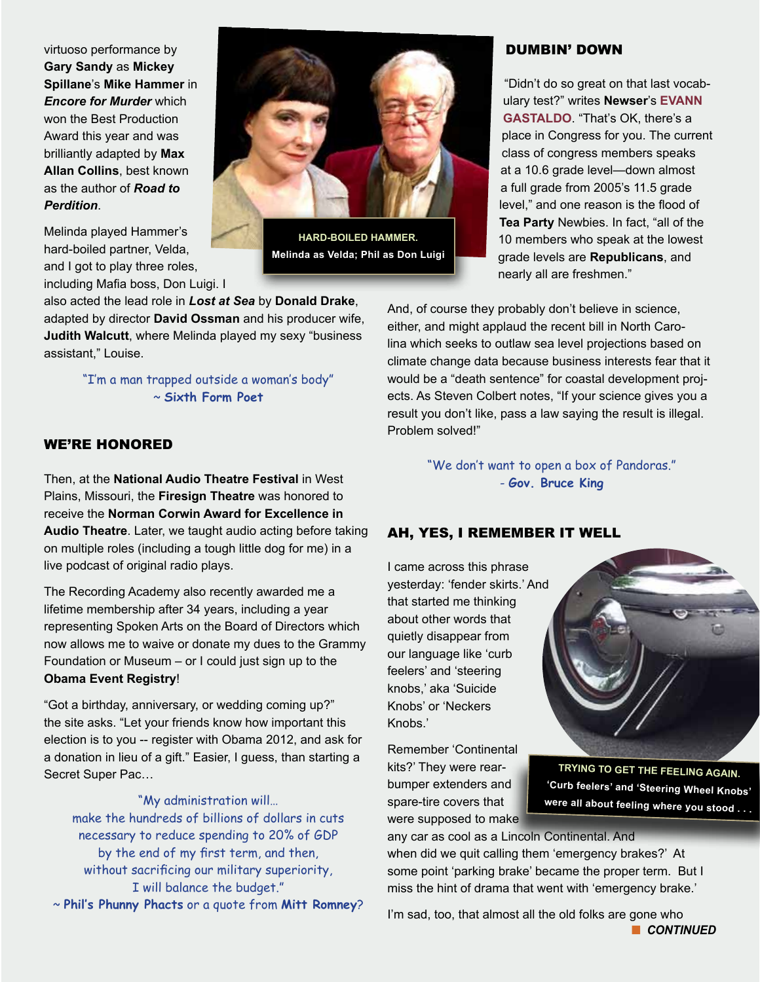virtuoso performance by **Gary Sandy** as **Mickey Spillane**'s **Mike Hammer** in *Encore for Murder* which won the Best Production Award this year and was brilliantly adapted by **Max Allan Collins**, best known as the author of *Road to Perdition*.

Melinda played Hammer's hard-boiled partner, Velda, and I got to play three roles, including Mafia boss, Don Luigi. I

also acted the lead role in *Lost at Sea* by **Donald Drake**, adapted by director **David Ossman** and his producer wife, **Judith Walcutt**, where Melinda played my sexy "business assistant," Louise.

> "I'm a man trapped outside a woman's body" ~ **Sixth Form Poet**

#### WE'RE HONORED

Then, at the **National Audio Theatre Festival** in West Plains, Missouri, the **Firesign Theatre** was honored to receive the **Norman Corwin Award for Excellence in Audio Theatre**. Later, we taught audio acting before taking on multiple roles (including a tough little dog for me) in a live podcast of original radio plays.

The Recording Academy also recently awarded me a lifetime membership after 34 years, including a year representing Spoken Arts on the Board of Directors which now allows me to waive or donate my dues to the Grammy Foundation or Museum – or I could just sign up to the **Obama Event Registry**!

"Got a birthday, anniversary, or wedding coming up?" the site asks. "Let your friends know how important this election is to you -- register with Obama 2012, and ask for a donation in lieu of a gift." Easier, I guess, than starting a Secret Super Pac…

#### "My administration will…

make the hundreds of billions of dollars in cuts necessary to reduce spending to 20% of GDP by the end of my first term, and then, without sacrificing our military superiority, I will balance the budget." ~ **Phil's Phunny Phacts** or a quote from **Mitt Romney**? "We don't want to open a box of Pandoras." - **Gov. Bruce King**

#### AH, YES, I REMEMBER IT WELL

I came across this phrase yesterday: 'fender skirts.' And that started me thinking about other words that quietly disappear from our language like 'curb feelers' and 'steering knobs,' aka 'Suicide Knobs' or 'Neckers Knobs.'

Remember 'Continental kits?' They were rearbumper extenders and spare-tire covers that were supposed to make

**TRYING TO GET THE FEELING AGAIN. 'Curb feelers' and 'Steering Wheel Knobs' were all about feeling where you stood . . .** 

any car as cool as a Lincoln Continental. And when did we quit calling them 'emergency brakes?' At some point 'parking brake' became the proper term. But I miss the hint of drama that went with 'emergency brake.'

I'm sad, too, that almost all the old folks are gone who **n** CONTINUED

**HARD-BOILED HAMMER. Melinda as Velda; Phil as Don Luigi**

#### DUMBIN' DOWN

"Didn't do so great on that last vocabulary test?" writes **Newser**'s **[EVANN](http://www.newser.com/user/3732/1/evann-gastaldo.html?type=stories)  [GASTALDO](http://www.newser.com/user/3732/1/evann-gastaldo.html?type=stories)**. "That's OK, there's a place in Congress for you. The current class of congress members speaks at a 10.6 grade level—down almost a full grade from 2005's 11.5 grade level," and one reason is the flood of **Tea Party** Newbies. In fact, "all of the 10 members who speak at the lowest grade levels are **Republicans**, and nearly all are freshmen."

And, of course they probably don't believe in science, either, and might applaud the recent bill in North Carolina which seeks to outlaw sea level projections based on climate change data because business interests fear that it would be a "death sentence" for coastal development projects. As Steven Colbert notes, "If your science gives you a result you don't like, pass a law saying the result is illegal. Problem solved!"



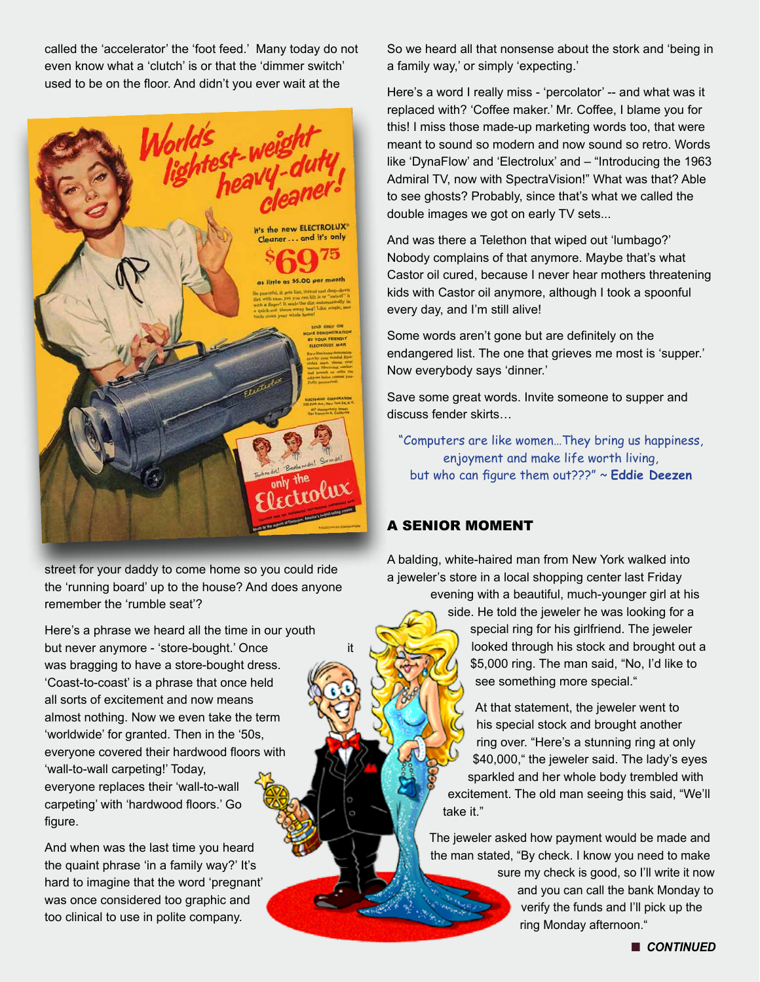called the 'accelerator' the 'foot feed.' Many today do not even know what a 'clutch' is or that the 'dimmer switch' used to be on the floor. And didn't you ever wait at the



street for your daddy to come home so you could ride the 'running board' up to the house? And does anyone remember the 'rumble seat'?

Here's a phrase we heard all the time in our youth but never anymore - 'store-bought.' Once was bragging to have a store-bought dress. 'Coast-to-coast' is a phrase that once held all sorts of excitement and now means almost nothing. Now we even take the term 'worldwide' for granted. Then in the '50s, everyone covered their hardwood floors with 'wall-to-wall carpeting!' Today, everyone replaces their 'wall-to-wall carpeting' with 'hardwood floors.' Go figure.

And when was the last time you heard the quaint phrase 'in a family way?' It's hard to imagine that the word 'pregnant' was once considered too graphic and too clinical to use in polite company.

So we heard all that nonsense about the stork and 'being in a family way,' or simply 'expecting.'

Here's a word I really miss - 'percolator' -- and what was it replaced with? 'Coffee maker.' Mr. Coffee, I blame you for this! I miss those made-up marketing words too, that were meant to sound so modern and now sound so retro. Words like 'DynaFlow' and 'Electrolux' and – "Introducing the 1963 Admiral TV, now with SpectraVision!" What was that? Able to see ghosts? Probably, since that's what we called the double images we got on early TV sets...

And was there a Telethon that wiped out 'lumbago?' Nobody complains of that anymore. Maybe that's what Castor oil cured, because I never hear mothers threatening kids with Castor oil anymore, although I took a spoonful every day, and I'm still alive!

Some words aren't gone but are definitely on the endangered list. The one that grieves me most is 'supper.' Now everybody says 'dinner.'

Save some great words. Invite someone to supper and discuss fender skirts…

"Computers are like women…They bring us happiness, enjoyment and make life worth living, but who can figure them out???" ~ **Eddie Deezen**

#### A SENIOR MOMENT

A balding, white-haired man from New York walked into a jeweler's store in a local shopping center last Friday evening with a beautiful, much-younger girl at his

side. He told the jeweler he was looking for a special ring for his girlfriend. The jeweler looked through his stock and brought out a \$5,000 ring. The man said, "No, I'd like to see something more special."

At that statement, the jeweler went to his special stock and brought another ring over. "Here's a stunning ring at only \$40,000," the jeweler said. The lady's eyes sparkled and her whole body trembled with excitement. The old man seeing this said, "We'll take it."

The jeweler asked how payment would be made and the man stated, "By check. I know you need to make

> sure my check is good, so I'll write it now and you can call the bank Monday to verify the funds and I'll pick up the ring Monday afternoon."

> > n *CONTINUED*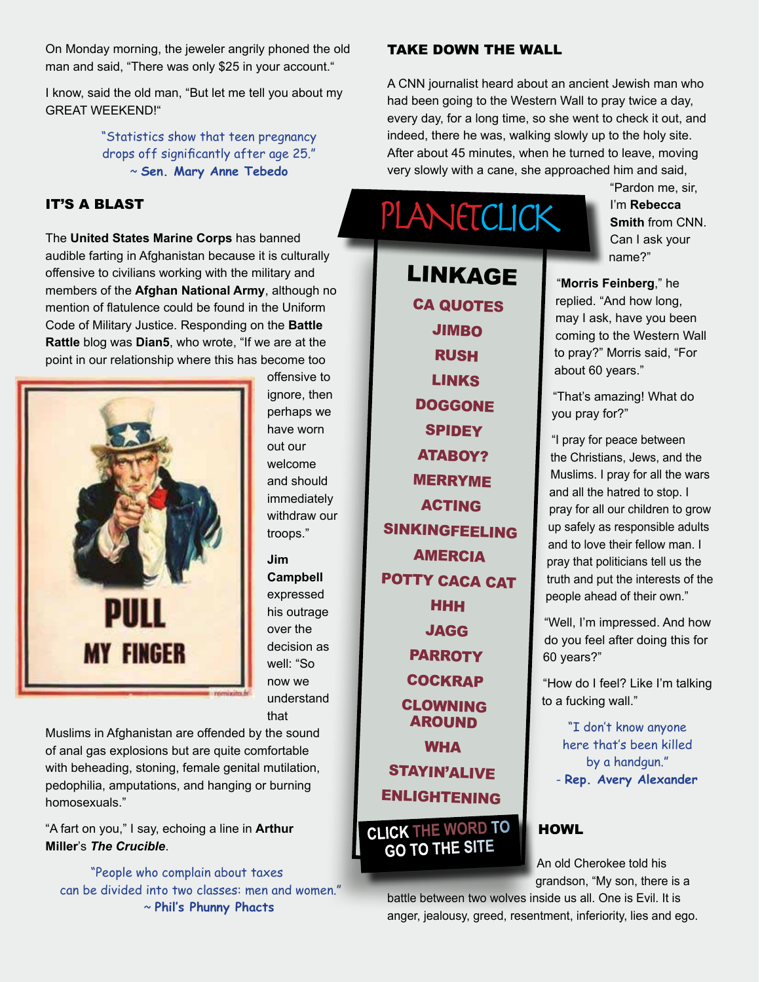On Monday morning, the jeweler angrily phoned the old man and said, "There was only \$25 in your account."

I know, said the old man, "But let me tell you about my GREAT WEEKEND!"

> "Statistics show that teen pregnancy drops off significantly after age 25." ~ **Sen. Mary Anne Tebedo**

#### IT'S A BLAST

The **United States Marine Corps** has banned audible farting in Afghanistan because it is culturally offensive to civilians working with the military and members of the **Afghan National Army**, although no mention of flatulence could be found in the Uniform Code of Military Justice. Responding on the **Battle Rattle** blog was **Dian5**, who wrote, "If we are at the point in our relationship where this has become too



offensive to ignore, then perhaps we have worn out our welcome and should immediately withdraw our troops."

**Jim Campbell** expressed his outrage over the decision as well: "So now we understand that

Muslims in Afghanistan are offended by the sound of anal gas explosions but are quite comfortable with beheading, stoning, female genital mutilation, pedophilia, amputations, and hanging or burning homosexuals."

"A fart on you," I say, echoing a line in **Arthur Miller**'s *The Crucible*.

"People who complain about taxes can be divided into two classes: men and women." ~ **Phil's Phunny Phacts**

#### TAKE DOWN THE WALL

A CNN journalist heard about an ancient Jewish man who had been going to the Western Wall to pray twice a day, every day, for a long time, so she went to check it out, and indeed, there he was, walking slowly up to the holy site. After about 45 minutes, when he turned to leave, moving very slowly with a cane, she approached him and said,

## PLANETCLICK

[CA QUOTES](http://www.californiality.com/2010/06/best-quotations-about-california.html) [JIMBO](http://www.jimpressions.net/) [RUSH](http://www.wimp.com/russiaride/) [LINKS](http://www.youtube.com/watch_popup?v=xMYjfb_M9wM&vq=large) **[DOGGONE](http://youtube.googleapis.com/v/5we2rAggjas) [SPIDEY](http://youtu.be/9GgAbyYDFeg)** [ATABOY?](http://www.biertijd.com/mediaplayer/?itemid=13658) [MERRYME](http://www.nj.com/entertainment/index.ssf/2012/05/mariage_proposal_video_portlan.html) [ACTING](http://www.wimp.com/goodactor/) [SINKINGFEELING](http://www.colbertnation.com/the-colbert-report-videos/414796/june-04-2012/the-word---sink-or-swim) [AMERCIA](http://www.colbertnation.com/the-colbert-report-videos/414595/may-30-2012/tip-wag---gay-bar-bachelorette-bans---mitt-romney-s-iphone-app) [POTTY CACA CAT](http://www.youtube.com/watch?v=zQbHS4YJOMc&feature=share) **[HHH](www.youtube.com/watch_popup?v=9xwCG0Ey2Mg)** [JAGG](http://www.rollingstone.com/music/news/mick-jaggers-best-snl-moments-20120520)  **[PARROTY](http://www.youtube.com/watch?v=YYmEviJK5Hs&feature=related) [COCKRAP](http://www.youtube.com/watch?v=mx4kZIQUhVw)** [CLOWNING](http://www.yourememberthat.com/media/10939/Send_In_The_Clowns/)  [AROUND](http://www.yourememberthat.com/media/10939/Send_In_The_Clowns/) **[WHA](http://www.wimp.com/creaturecaught/)** [STAYIN'ALIVE](http://ahsc.arizona.edu/node/730) [ENLIGHTENING](http://www.bildschirmarbeiter.com/video/meet_your_creator_-_quadrotor_show/) LINKAGE

### **CLICK THE WORD TO GO TO THE SITE**

"Pardon me, sir, I'm **Rebecca Smith** from CNN. Can I ask your name?"

"**Morris Feinberg**," he replied. "And how long, may I ask, have you been coming to the Western Wall to pray?" Morris said, "For about 60 years."

"That's amazing! What do you pray for?"

"I pray for peace between the Christians, Jews, and the Muslims. I pray for all the wars and all the hatred to stop. I pray for all our children to grow up safely as responsible adults and to love their fellow man. I pray that politicians tell us the truth and put the interests of the people ahead of their own."

"Well, I'm impressed. And how do you feel after doing this for 60 years?"

"How do I feel? Like I'm talking to a fucking wall."

"I don't know anyone here that's been killed by a handgun." - **Rep. Avery Alexander**

#### **HOWL**

An old Cherokee told his grandson, "My son, there is a

battle between two wolves inside us all. One is Evil. It is anger, jealousy, greed, resentment, inferiority, lies and ego.